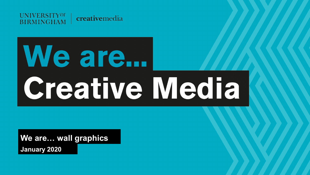

# We are... **Creative Media**

**We are… wall graphics January 2020**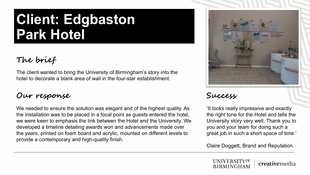# **Client: Edgbaston Park Hotel**

## **The brief**

The client wanted to bring the University of Birmingham's story into the hotel to decorate a blank area of wall in the four-star establishment.

#### **Our response Success**

We needed to ensure the solution was elegant and of the highest quality. As the installation was to be placed in a focal point as guests entered the hotel, we were keen to emphasis the link between the Hotel and the University. We developed a timeline detailing awards won and advancements made over the years, printed on foam board and acrylic, mounted on different levels to provide a contemporary and high-quality finish.



'It looks really impressive and exactly the right tone for the Hotel and tells the University story very well. Thank you to you and your team for doing such a great job in such a short space of time.'

Claire Doggett, Brand and Reputation.